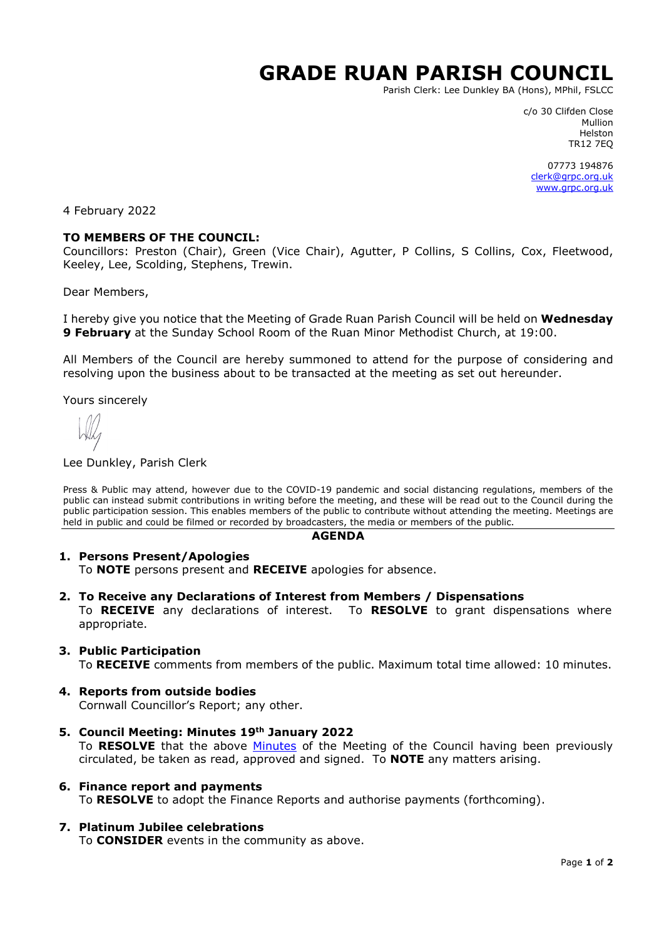# **GRADE RUAN PARISH COUNCIL**

Parish Clerk: Lee Dunkley BA (Hons), MPhil, FSLCC

c/o 30 Clifden Close Mullion Helston TR12 7EQ

07773 194876 [clerk@grpc.org.uk](mailto:clerk@grpc.org.uk) [www.grpc.org.uk](http://www.grpc.org.uk/)

4 February 2022

## **TO MEMBERS OF THE COUNCIL:**

Councillors: Preston (Chair), Green (Vice Chair), Agutter, P Collins, S Collins, Cox, Fleetwood, Keeley, Lee, Scolding, Stephens, Trewin.

Dear Members,

I hereby give you notice that the Meeting of Grade Ruan Parish Council will be held on **Wednesday 9 February** at the Sunday School Room of the Ruan Minor Methodist Church, at 19:00.

All Members of the Council are hereby summoned to attend for the purpose of considering and resolving upon the business about to be transacted at the meeting as set out hereunder.

Yours sincerely

#### Lee Dunkley, Parish Clerk

Press & Public may attend, however due to the COVID-19 pandemic and social distancing regulations, members of the public can instead submit contributions in writing before the meeting, and these will be read out to the Council during the public participation session. This enables members of the public to contribute without attending the meeting. Meetings are held in public and could be filmed or recorded by broadcasters, the media or members of the public.

#### **AGENDA**

### **1. Persons Present/Apologies**

To **NOTE** persons present and **RECEIVE** apologies for absence.

**2. To Receive any Declarations of Interest from Members / Dispensations**

To **RECEIVE** any declarations of interest. To **RESOLVE** to grant dispensations where appropriate.

### **3. Public Participation**

To **RECEIVE** comments from members of the public. Maximum total time allowed: 10 minutes.

### **4. Reports from outside bodies**

Cornwall Councillor's Report; any other.

- **5. Council Meeting: Minutes 19th January 2022** To **RESOLVE** that the above [Minutes](https://www.grpc.org.uk/files/3916/4329/8257/Minutes_19_January_2022_DRAFT.pdf) of the Meeting of the Council having been previously circulated, be taken as read, approved and signed. To **NOTE** any matters arising.
- **6. Finance report and payments** To **RESOLVE** to adopt the Finance Reports and authorise payments (forthcoming).
- **7. Platinum Jubilee celebrations** To **CONSIDER** events in the community as above.